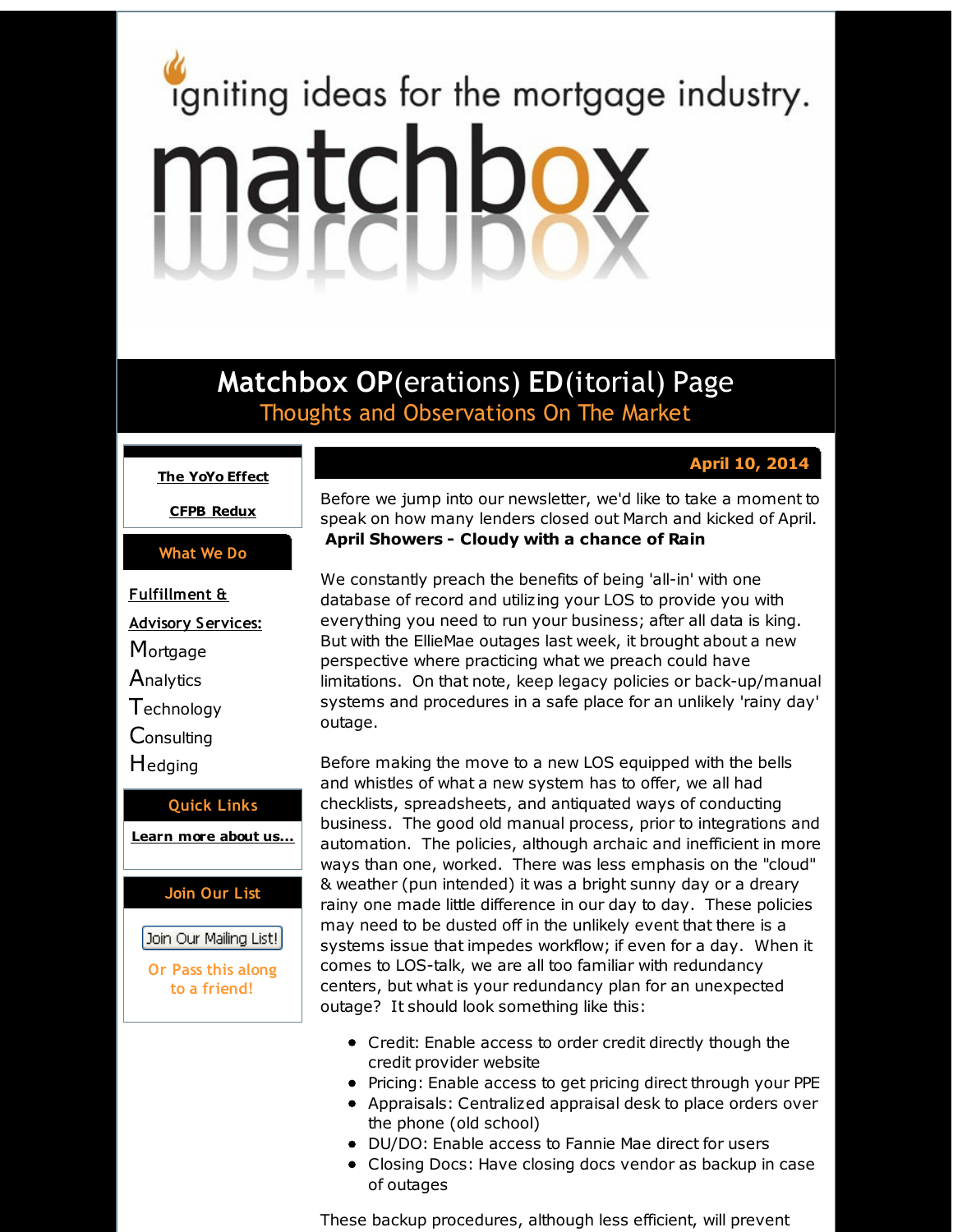# <span id="page-0-0"></span>igniting ideas for the mortgage industry. matchbox

**Matchbox OP**(erations) **ED**(itorial) Page Thoughts and Observations On The Market

# **April 10, 2014**

**The YoYo [Effect](#page-0-0)**

**CFPB [Redux](#page-0-0)**

# **What We Do**

**Fulfillment & Advisory Services: Mortgage Analytics Technology Consulting H**edging

**Quick Links [Learn](http://r20.rs6.net/tn.jsp?f=001o7tLzPLZHkpwC-T3inEl3W0D37TesP1ITbRtQEcK6OGkyDemGT4KOapywgI0n0HHf0yx9vJmNGOkspsQ_IyQKG5fYMxexhQ35oEveK6k276omiEnU3epDpTDyvBugg4K4kubuT6S3lXI0l1cTtb4rAZw666k0Gxuj_X3J6pAeo9vi659bqrLMQ==&c=&ch=) more about u[s...](http://r20.rs6.net/tn.jsp?f=001o7tLzPLZHkpwC-T3inEl3W0D37TesP1ITbRtQEcK6OGkyDemGT4KOapywgI0n0HHf0yx9vJmNGOkspsQ_IyQKG5fYMxexhQ35oEveK6k276omiEnU3epDpTDyvBugg4K4kubuT6S3lXI0l1cTtb4rAZw666k0Gxuj_X3J6pAeo9vi659bqrLMQ==&c=&ch=)**

# **Join Our List**

# Join Our Mailing List!

**Or Pass this along to a friend!**

Before we jump into our newsletter, we'd like to take a moment to speak on how many lenders closed out March and kicked of April. **April Showers - Cloudy with a chance of Rain**

We constantly preach the benefits of being 'all-in' with one database of record and utilizing your LOS to provide you with everything you need to run your business; after all data is king. But with the EllieMae outages last week, it brought about a new perspective where practicing what we preach could have limitations. On that note, keep legacy policies or back-up/manual systems and procedures in a safe place for an unlikely 'rainy day' outage.

Before making the move to a new LOS equipped with the bells and whistles of what a new system has to offer, we all had checklists, spreadsheets, and antiquated ways of conducting business. The good old manual process, prior to integrations and automation. The policies, although archaic and inefficient in more ways than one, worked. There was less emphasis on the "cloud" & weather (pun intended) it was a bright sunny day or a dreary rainy one made little difference in our day to day. These policies may need to be dusted off in the unlikely event that there is a systems issue that impedes workflow; if even for a day. When it comes to LOS-talk, we are all too familiar with redundancy centers, but what is your redundancy plan for an unexpected outage? It should look something like this:

- Credit: Enable access to order credit directly though the credit provider website
- Pricing: Enable access to get pricing direct through your PPE
- Appraisals: Centralized appraisal desk to place orders over the phone (old school)
- DU/DO: Enable access to Fannie Mae direct for users
- Closing Docs: Have closing docs vendor as backup in case of outages

These backup procedures, although less efficient, will prevent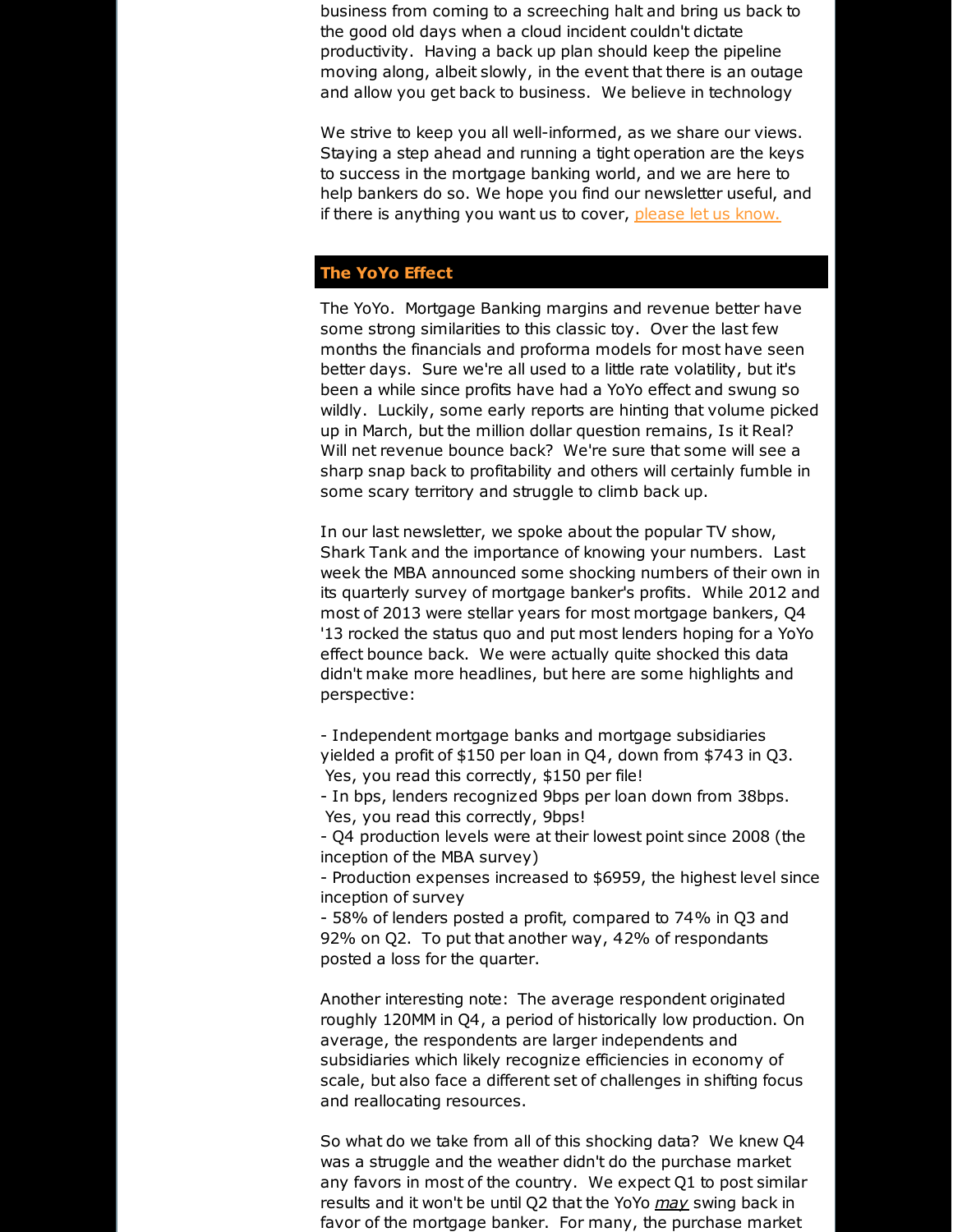business from coming to a screeching halt and bring us back to the good old days when a cloud incident couldn't dictate productivity. Having a back up plan should keep the pipeline moving along, albeit slowly, in the event that there is an outage and allow you get back to business. We believe in technology

We strive to keep you all well-informed, as we share our views. Staying a step ahead and running a tight operation are the keys to success in the mortgage banking world, and we are here to help bankers do so. We hope you find our newsletter useful, and if there is anything you want us to cover, [please](http://r20.rs6.net/tn.jsp?f=001o7tLzPLZHkpwC-T3inEl3W0D37TesP1ITbRtQEcK6OGkyDemGT4KOTn8R-xFW8uCh1pxXyob7Rkk7qXnS_BkEREsnfYrT3EatSRVAfyzoLV3USZTtKg5_BKDEgBjj-UZq7PWKhklzOLVfgH_c1HaXEhyBOOGHihHSRfrEPjiQPRTJnA-t9hTxCVSOYQyfyvm&c=&ch=) let us know.

## **The YoYo Effect**

The YoYo. Mortgage Banking margins and revenue better have some strong similarities to this classic toy. Over the last few months the financials and proforma models for most have seen better days. Sure we're all used to a little rate volatility, but it's been a while since profits have had a YoYo effect and swung so wildly. Luckily, some early reports are hinting that volume picked up in March, but the million dollar question remains, Is it Real? Will net revenue bounce back? We're sure that some will see a sharp snap back to profitability and others will certainly fumble in some scary territory and struggle to climb back up.

In our last newsletter, we spoke about the popular TV show, Shark Tank and the importance of knowing your numbers. Last week the MBA announced some shocking numbers of their own in its quarterly survey of mortgage banker's profits. While 2012 and most of 2013 were stellar years for most mortgage bankers, Q4 '13 rocked the status quo and put most lenders hoping for a YoYo effect bounce back. We were actually quite shocked this data didn't make more headlines, but here are some highlights and perspective:

- Independent mortgage banks and mortgage subsidiaries yielded a profit of \$150 per loan in Q4, down from \$743 in Q3. Yes, you read this correctly, \$150 per file!

- In bps, lenders recognized 9bps per loan down from 38bps. Yes, you read this correctly, 9bps!

- Q4 production levels were at their lowest point since 2008 (the inception of the MBA survey)

- Production expenses increased to \$6959, the highest level since inception of survey

- 58% of lenders posted a profit, compared to 74% in Q3 and 92% on Q2. To put that another way, 42% of respondants posted a loss for the quarter.

Another interesting note: The average respondent originated roughly 120MM in Q4, a period of historically low production. On average, the respondents are larger independents and subsidiaries which likely recognize efficiencies in economy of scale, but also face a different set of challenges in shifting focus and reallocating resources.

So what do we take from all of this shocking data? We knew Q4 was a struggle and the weather didn't do the purchase market any favors in most of the country. We expect Q1 to post similar results and it won't be until Q2 that the YoYo *may* swing back in favor of the mortgage banker. For many, the purchase market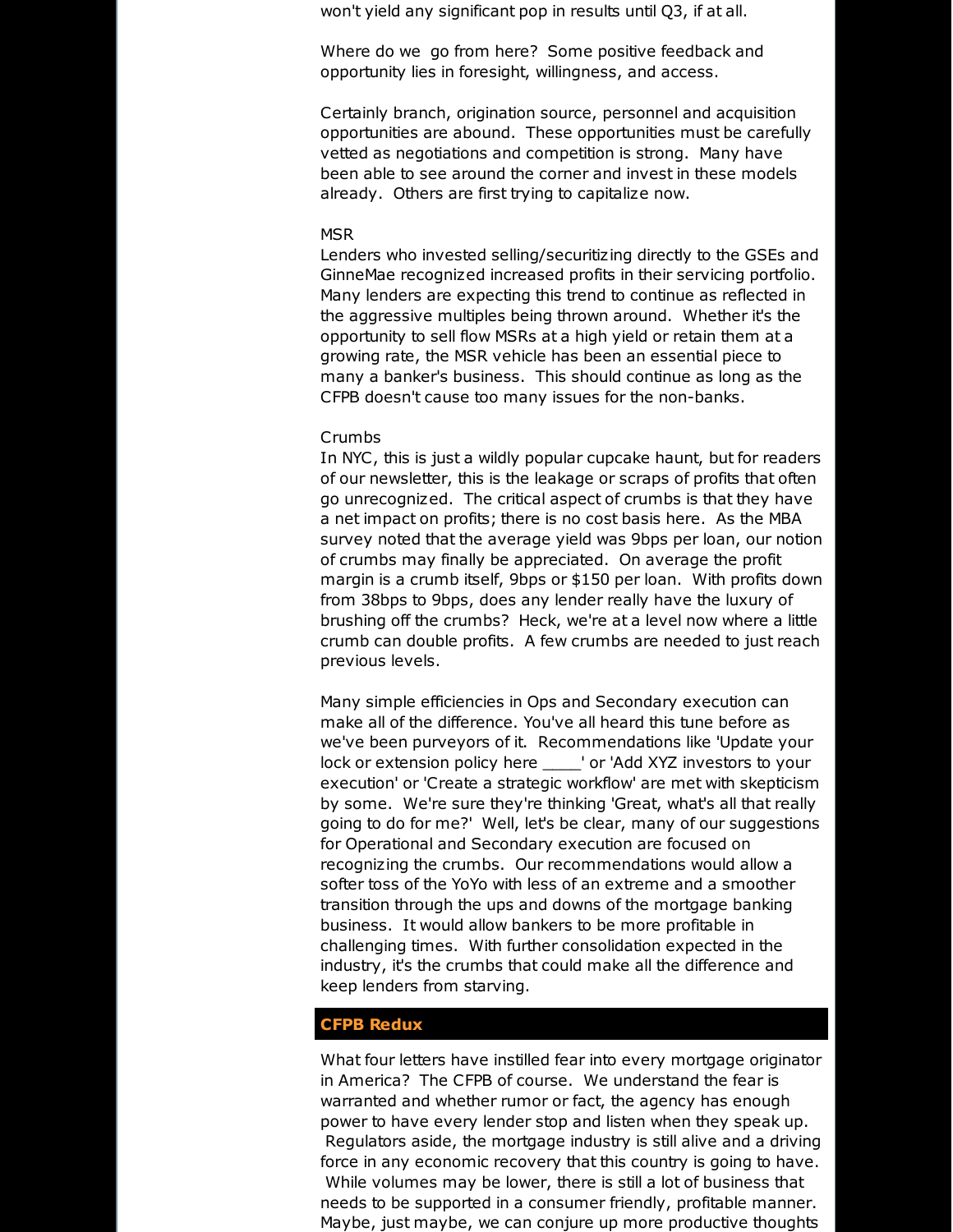won't yield any significant pop in results until Q3, if at all.

Where do we go from here? Some positive feedback and opportunity lies in foresight, willingness, and access.

Certainly branch, origination source, personnel and acquisition opportunities are abound. These opportunities must be carefully vetted as negotiations and competition is strong. Many have been able to see around the corner and invest in these models already. Others are first trying to capitalize now.

#### MSR

Lenders who invested selling/securitizing directly to the GSEs and GinneMae recognized increased profits in their servicing portfolio. Many lenders are expecting this trend to continue as reflected in the aggressive multiples being thrown around. Whether it's the opportunity to sell flow MSRs at a high yield or retain them at a growing rate, the MSR vehicle has been an essential piece to many a banker's business. This should continue as long as the CFPB doesn't cause too many issues for the non-banks.

#### Crumbs

In NYC, this is just a wildly popular cupcake haunt, but for readers of our newsletter, this is the leakage or scraps of profits that often go unrecognized. The critical aspect of crumbs is that they have a net impact on profits; there is no cost basis here. As the MBA survey noted that the average yield was 9bps per loan, our notion of crumbs may finally be appreciated. On average the profit margin is a crumb itself, 9bps or \$150 per loan. With profits down from 38bps to 9bps, does any lender really have the luxury of brushing off the crumbs? Heck, we're at a level now where a little crumb can double profits. A few crumbs are needed to just reach previous levels.

Many simple efficiencies in Ops and Secondary execution can make all of the difference. You've all heard this tune before as we've been purveyors of it. Recommendations like 'Update your lock or extension policy here \_\_\_\_' or 'Add XYZ investors to your execution' or 'Create a strategic workflow' are met with skepticism by some. We're sure they're thinking 'Great, what's all that really going to do for me?' Well, let's be clear, many of our suggestions for Operational and Secondary execution are focused on recognizing the crumbs. Our recommendations would allow a softer toss of the YoYo with less of an extreme and a smoother transition through the ups and downs of the mortgage banking business. It would allow bankers to be more profitable in challenging times. With further consolidation expected in the industry, it's the crumbs that could make all the difference and keep lenders from starving.

#### **CFPB Redux**

What four letters have instilled fear into every mortgage originator in America? The CFPB of course. We understand the fear is warranted and whether rumor or fact, the agency has enough power to have every lender stop and listen when they speak up. Regulators aside, the mortgage industry is still alive and a driving force in any economic recovery that this country is going to have. While volumes may be lower, there is still a lot of business that needs to be supported in a consumer friendly, profitable manner. Maybe, just maybe, we can conjure up more productive thoughts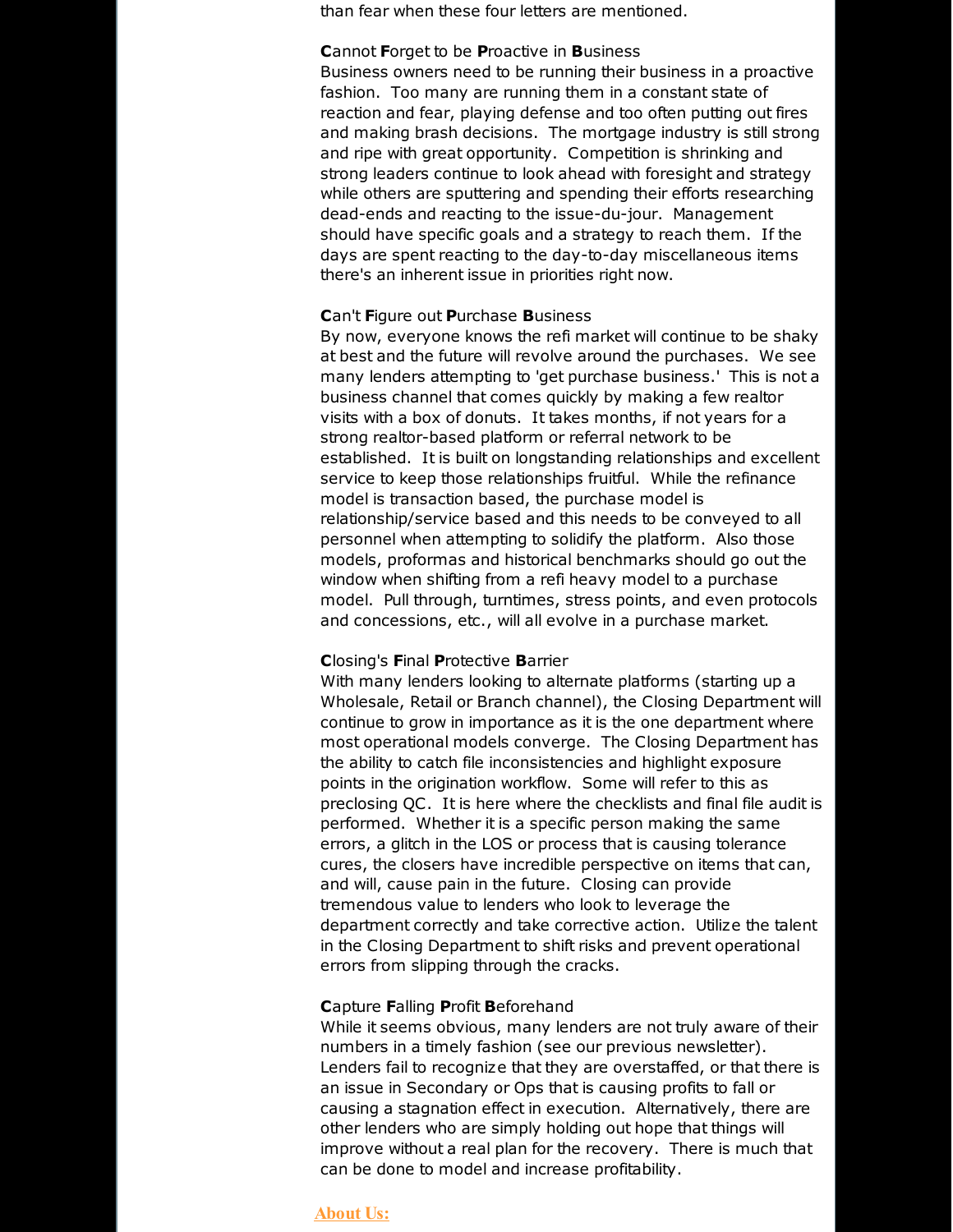than fear when these four letters are mentioned.

## **C**annot **F**orget to be **P**roactive in **B**usiness

Business owners need to be running their business in a proactive fashion. Too many are running them in a constant state of reaction and fear, playing defense and too often putting out fires and making brash decisions. The mortgage industry is still strong and ripe with great opportunity. Competition is shrinking and strong leaders continue to look ahead with foresight and strategy while others are sputtering and spending their efforts researching dead-ends and reacting to the issue-du-jour. Management should have specific goals and a strategy to reach them. If the days are spent reacting to the day-to-day miscellaneous items there's an inherent issue in priorities right now.

#### **C**an't **F**igure out **P**urchase **B**usiness

By now, everyone knows the refi market will continue to be shaky at best and the future will revolve around the purchases. We see many lenders attempting to 'get purchase business.' This is not a business channel that comes quickly by making a few realtor visits with a box of donuts. It takes months, if not years for a strong realtor-based platform or referral network to be established. It is built on longstanding relationships and excellent service to keep those relationships fruitful. While the refinance model is transaction based, the purchase model is relationship/service based and this needs to be conveyed to all personnel when attempting to solidify the platform. Also those models, proformas and historical benchmarks should go out the window when shifting from a refi heavy model to a purchase model. Pull through, turntimes, stress points, and even protocols and concessions, etc., will all evolve in a purchase market.

#### **C**losing's **F**inal **P**rotective **B**arrier

With many lenders looking to alternate platforms (starting up a Wholesale, Retail or Branch channel), the Closing Department will continue to grow in importance as it is the one department where most operational models converge. The Closing Department has the ability to catch file inconsistencies and highlight exposure points in the origination workflow. Some will refer to this as preclosing QC. It is here where the checklists and final file audit is performed. Whether it is a specific person making the same errors, a glitch in the LOS or process that is causing tolerance cures, the closers have incredible perspective on items that can, and will, cause pain in the future. Closing can provide tremendous value to lenders who look to leverage the department correctly and take corrective action. Utilize the talent in the Closing Department to shift risks and prevent operational errors from slipping through the cracks.

#### **C**apture **F**alling **P**rofit **B**eforehand

While it seems obvious, many lenders are not truly aware of their numbers in a timely fashion (see our previous newsletter). Lenders fail to recognize that they are overstaffed, or that there is an issue in Secondary or Ops that is causing profits to fall or causing a stagnation effect in execution. Alternatively, there are other lenders who are simply holding out hope that things will improve without a real plan for the recovery. There is much that can be done to model and increase profitability.

## **About Us:**